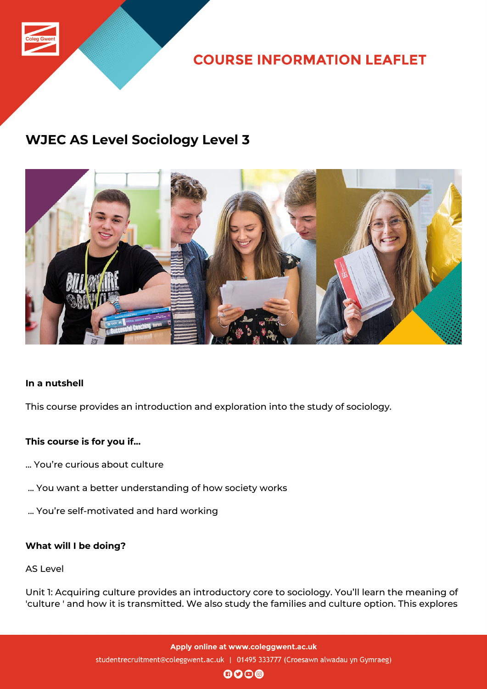

**COURSE INFORMATION LEAFLET** 

# **WJEC AS Level Sociology Level 3**



# **In a nutshell**

This course provides an introduction and exploration into the study of sociology.

# **This course is for you if...**

- ... You're curious about culture
- ... You want a better understanding of how society works
- ... You're self-motivated and hard working

# **What will I be doing?**

#### AS Level

Unit 1: Acquiring culture provides an introductory core to sociology. You'll learn the meaning of 'culture ' and how it is transmitted. We also study the families and culture option. This explores

> Apply online at www.coleggwent.ac.uk studentrecruitment@coleggwent.ac.uk | 01495 333777 (Croesawn alwadau yn Gymraeg)

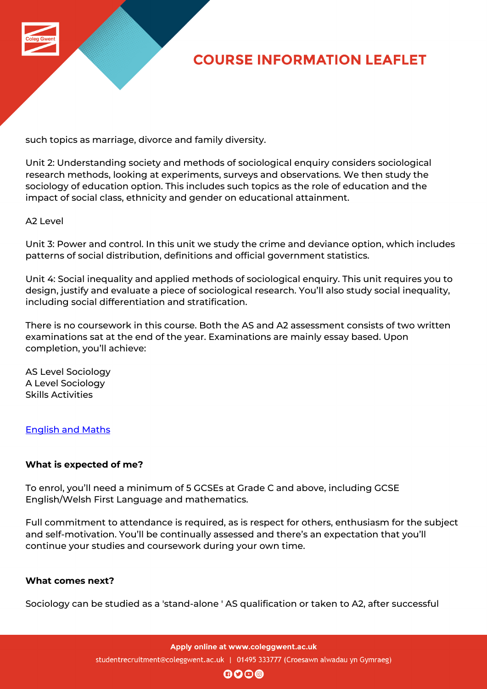

# **COURSE INFORMATION LEAFLET**

such topics as marriage, divorce and family diversity.

Unit 2: Understanding society and methods of sociological enquiry considers sociological research methods, looking at experiments, surveys and observations. We then study the sociology of education option. This includes such topics as the role of education and the impact of social class, ethnicity and gender on educational attainment.

#### A2 Level

Unit 3: Power and control. In this unit we study the crime and deviance option, which includes patterns of social distribution, definitions and official government statistics.

Unit 4: Social inequality and applied methods of sociological enquiry. This unit requires you to design, justify and evaluate a piece of sociological research. You'll also study social inequality, including social differentiation and stratification.

There is no coursework in this course. Both the AS and A2 assessment consists of two written examinations sat at the end of the year. Examinations are mainly essay based. Upon completion, you'll achieve:

AS Level Sociology A Level Sociology Skills Activities

# English and Maths

# **[What is expected](http://www.coleggwent.ac.uk/index.php?option=com_content&view=article&id=2314) of me?**

To enrol, you'll need a minimum of 5 GCSEs at Grade C and above, including GCSE English/Welsh First Language and mathematics.

Full commitment to attendance is required, as is respect for others, enthusiasm for the subject and self-motivation. You'll be continually assessed and there's an expectation that you'll continue your studies and coursework during your own time.

#### **What comes next?**

Sociology can be studied as a 'stand-alone ' AS qualification or taken to A2, after successful

Apply online at www.coleggwent.ac.uk studentrecruitment@coleggwent.ac.uk | 01495 333777 (Croesawn alwadau yn Gymraeg)

 $\mathbf{0}$  $\mathbf{0}$  $\mathbf{0}$